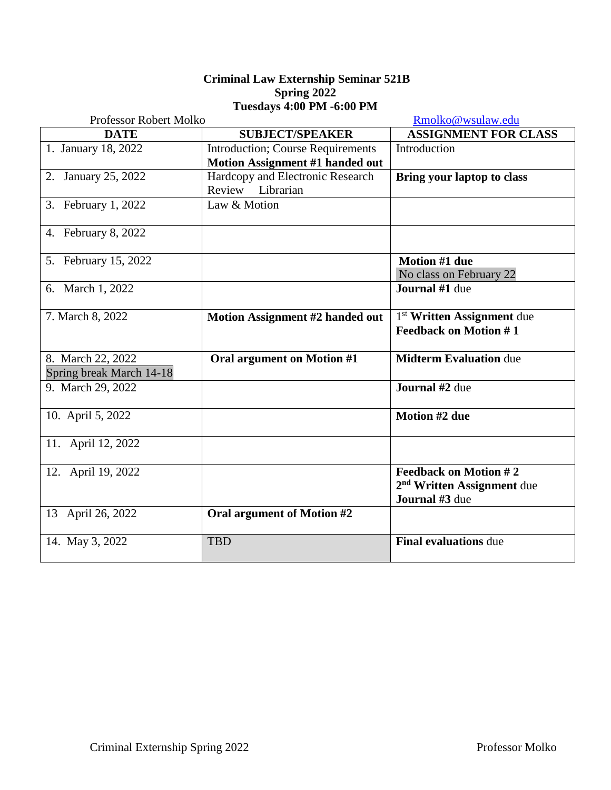## **Criminal Law Externship Seminar 521B Spring 2022 Tuesdays 4:00 PM -6:00 PM**

| Professor Robert Molko   |                                           | Rmolko@wsulaw.edu                      |
|--------------------------|-------------------------------------------|----------------------------------------|
| <b>DATE</b>              | <b>SUBJECT/SPEAKER</b>                    | <b>ASSIGNMENT FOR CLASS</b>            |
| 1. January 18, 2022      | <b>Introduction</b> ; Course Requirements | Introduction                           |
|                          | Motion Assignment #1 handed out           |                                        |
| 2. January 25, 2022      | Hardcopy and Electronic Research          | <b>Bring your laptop to class</b>      |
|                          | Review Librarian                          |                                        |
| 3. February 1, 2022      | Law & Motion                              |                                        |
| 4. February 8, 2022      |                                           |                                        |
| 5. February 15, 2022     |                                           | <b>Motion #1 due</b>                   |
|                          |                                           | No class on February 22                |
| 6. March 1, 2022         |                                           | Journal #1 due                         |
| 7. March 8, 2022         | Motion Assignment #2 handed out           | 1 <sup>st</sup> Written Assignment due |
|                          |                                           | <b>Feedback on Motion #1</b>           |
| 8. March 22, 2022        | Oral argument on Motion #1                | <b>Midterm Evaluation due</b>          |
| Spring break March 14-18 |                                           |                                        |
| 9. March 29, 2022        |                                           | Journal #2 due                         |
| 10. April 5, 2022        |                                           | Motion #2 due                          |
| 11. April 12, 2022       |                                           |                                        |
| 12. April 19, 2022       |                                           | <b>Feedback on Motion #2</b>           |
|                          |                                           | 2 <sup>nd</sup> Written Assignment due |
|                          |                                           | Journal #3 due                         |
| 13 April 26, 2022        | Oral argument of Motion #2                |                                        |
| 14. May 3, 2022          | <b>TBD</b>                                | <b>Final evaluations due</b>           |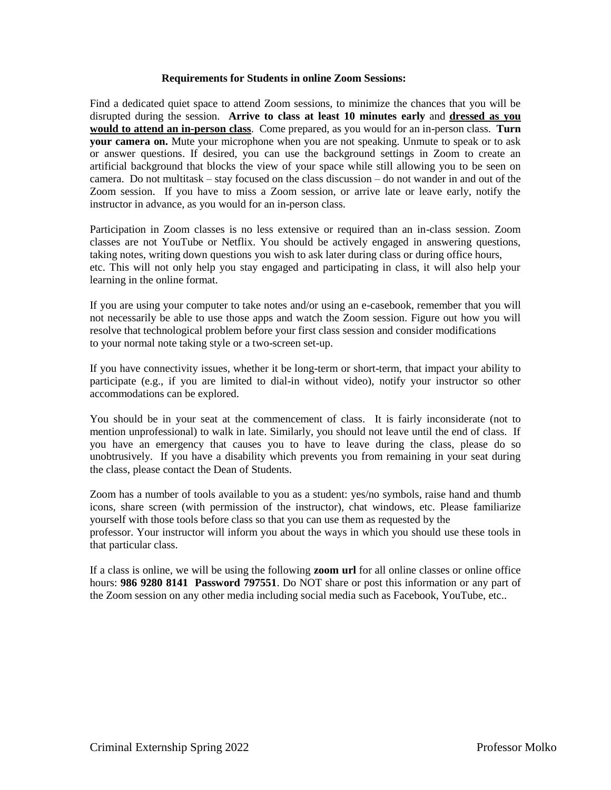#### **Requirements for Students in online Zoom Sessions:**

Find a dedicated quiet space to attend Zoom sessions, to minimize the chances that you will be disrupted during the session. **Arrive to class at least 10 minutes early** and **dressed as you would to attend an in-person class**. Come prepared, as you would for an in-person class. **Turn your camera on.** Mute your microphone when you are not speaking. Unmute to speak or to ask or answer questions. If desired, you can use the background settings in Zoom to create an artificial background that blocks the view of your space while still allowing you to be seen on camera. Do not multitask – stay focused on the class discussion – do not wander in and out of the Zoom session. If you have to miss a Zoom session, or arrive late or leave early, notify the instructor in advance, as you would for an in-person class.

Participation in Zoom classes is no less extensive or required than an in-class session. Zoom classes are not YouTube or Netflix. You should be actively engaged in answering questions, taking notes, writing down questions you wish to ask later during class or during office hours, etc. This will not only help you stay engaged and participating in class, it will also help your learning in the online format.

If you are using your computer to take notes and/or using an e-casebook, remember that you will not necessarily be able to use those apps and watch the Zoom session. Figure out how you will resolve that technological problem before your first class session and consider modifications to your normal note taking style or a two-screen set-up.

If you have connectivity issues, whether it be long-term or short-term, that impact your ability to participate (e.g., if you are limited to dial-in without video), notify your instructor so other accommodations can be explored.

You should be in your seat at the commencement of class. It is fairly inconsiderate (not to mention unprofessional) to walk in late. Similarly, you should not leave until the end of class. If you have an emergency that causes you to have to leave during the class, please do so unobtrusively. If you have a disability which prevents you from remaining in your seat during the class, please contact the Dean of Students.

Zoom has a number of tools available to you as a student: yes/no symbols, raise hand and thumb icons, share screen (with permission of the instructor), chat windows, etc. Please familiarize yourself with those tools before class so that you can use them as requested by the professor. Your instructor will inform you about the ways in which you should use these tools in that particular class.

If a class is online, we will be using the following **zoom url** for all online classes or online office hours: **986 9280 8141 Password 797551**. Do NOT share or post this information or any part of the Zoom session on any other media including social media such as Facebook, YouTube, etc..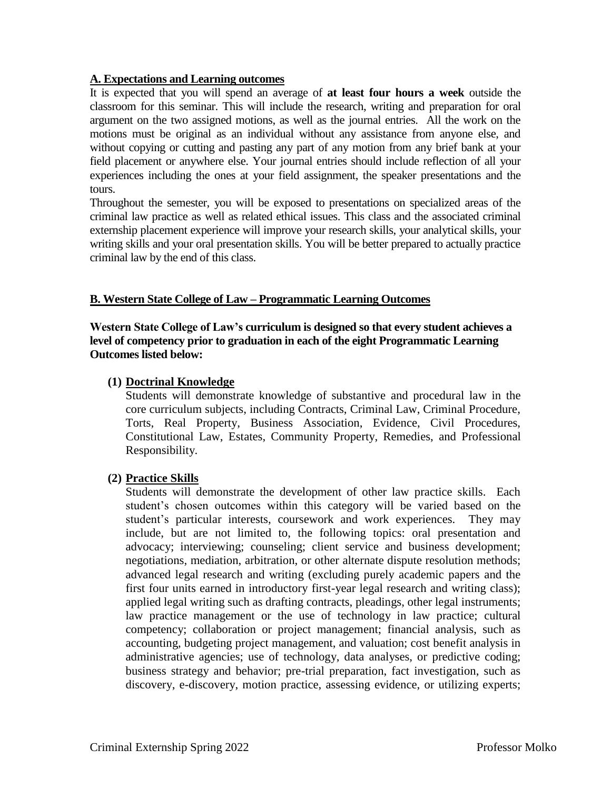## **A. Expectations and Learning outcomes**

It is expected that you will spend an average of **at least four hours a week** outside the classroom for this seminar. This will include the research, writing and preparation for oral argument on the two assigned motions, as well as the journal entries. All the work on the motions must be original as an individual without any assistance from anyone else, and without copying or cutting and pasting any part of any motion from any brief bank at your field placement or anywhere else. Your journal entries should include reflection of all your experiences including the ones at your field assignment, the speaker presentations and the tours.

Throughout the semester, you will be exposed to presentations on specialized areas of the criminal law practice as well as related ethical issues. This class and the associated criminal externship placement experience will improve your research skills, your analytical skills, your writing skills and your oral presentation skills. You will be better prepared to actually practice criminal law by the end of this class.

## **B. Western State College of Law – Programmatic Learning Outcomes**

**Western State College of Law's curriculum is designed so that every student achieves a level of competency prior to graduation in each of the eight Programmatic Learning Outcomes listed below:**

## **(1) Doctrinal Knowledge**

Students will demonstrate knowledge of substantive and procedural law in the core curriculum subjects, including Contracts, Criminal Law, Criminal Procedure, Torts, Real Property, Business Association, Evidence, Civil Procedures, Constitutional Law, Estates, Community Property, Remedies, and Professional Responsibility.

#### **(2) Practice Skills**

Students will demonstrate the development of other law practice skills. Each student's chosen outcomes within this category will be varied based on the student's particular interests, coursework and work experiences. They may include, but are not limited to, the following topics: oral presentation and advocacy; interviewing; counseling; client service and business development; negotiations, mediation, arbitration, or other alternate dispute resolution methods; advanced legal research and writing (excluding purely academic papers and the first four units earned in introductory first-year legal research and writing class); applied legal writing such as drafting contracts, pleadings, other legal instruments; law practice management or the use of technology in law practice; cultural competency; collaboration or project management; financial analysis, such as accounting, budgeting project management, and valuation; cost benefit analysis in administrative agencies; use of technology, data analyses, or predictive coding; business strategy and behavior; pre-trial preparation, fact investigation, such as discovery, e-discovery, motion practice, assessing evidence, or utilizing experts;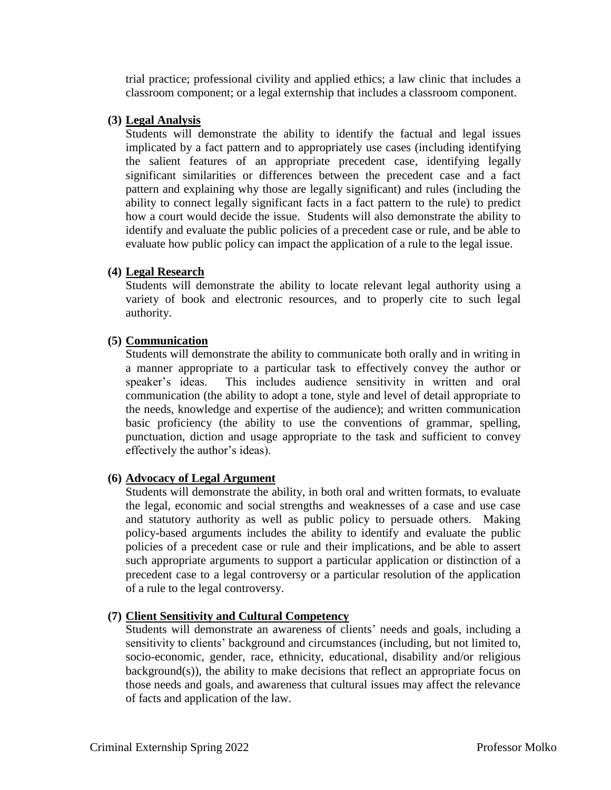trial practice; professional civility and applied ethics; a law clinic that includes a classroom component; or a legal externship that includes a classroom component.

## **(3) Legal Analysis**

Students will demonstrate the ability to identify the factual and legal issues implicated by a fact pattern and to appropriately use cases (including identifying the salient features of an appropriate precedent case, identifying legally significant similarities or differences between the precedent case and a fact pattern and explaining why those are legally significant) and rules (including the ability to connect legally significant facts in a fact pattern to the rule) to predict how a court would decide the issue. Students will also demonstrate the ability to identify and evaluate the public policies of a precedent case or rule, and be able to evaluate how public policy can impact the application of a rule to the legal issue.

## **(4) Legal Research**

Students will demonstrate the ability to locate relevant legal authority using a variety of book and electronic resources, and to properly cite to such legal authority.

## **(5) Communication**

Students will demonstrate the ability to communicate both orally and in writing in a manner appropriate to a particular task to effectively convey the author or speaker's ideas. This includes audience sensitivity in written and oral communication (the ability to adopt a tone, style and level of detail appropriate to the needs, knowledge and expertise of the audience); and written communication basic proficiency (the ability to use the conventions of grammar, spelling, punctuation, diction and usage appropriate to the task and sufficient to convey effectively the author's ideas).

#### **(6) Advocacy of Legal Argument**

Students will demonstrate the ability, in both oral and written formats, to evaluate the legal, economic and social strengths and weaknesses of a case and use case and statutory authority as well as public policy to persuade others. Making policy-based arguments includes the ability to identify and evaluate the public policies of a precedent case or rule and their implications, and be able to assert such appropriate arguments to support a particular application or distinction of a precedent case to a legal controversy or a particular resolution of the application of a rule to the legal controversy.

# **(7) Client Sensitivity and Cultural Competency**

Students will demonstrate an awareness of clients' needs and goals, including a sensitivity to clients' background and circumstances (including, but not limited to, socio-economic, gender, race, ethnicity, educational, disability and/or religious background(s)), the ability to make decisions that reflect an appropriate focus on those needs and goals, and awareness that cultural issues may affect the relevance of facts and application of the law.